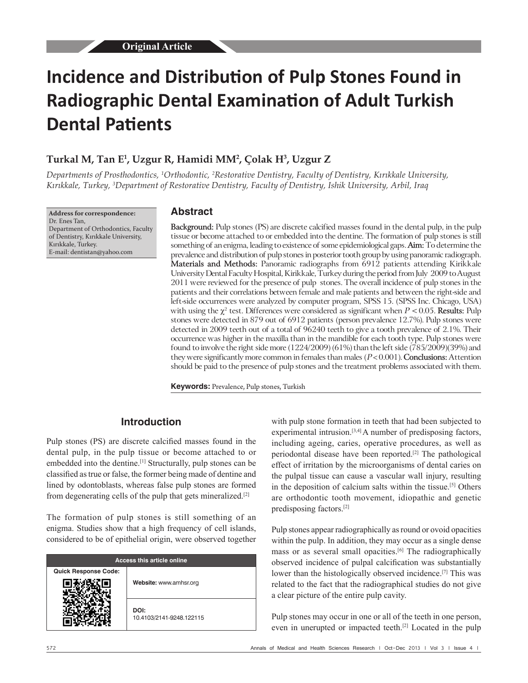# **Incidence and Distribution of Pulp Stones Found in Radiographic Dental Examination of Adult Turkish Dental Patients**

# **Turkal M, Tan E1 , Uzgur R, Hamidi MM2 , Çolak H3 , Uzgur Z**

Departments of Prosthodontics, <sup>1</sup>Orthodontic, <sup>2</sup>Restorative Dentistry, Faculty of Dentistry, Kırıkkale University, *Kırıkkale, Turkey, <sup>3</sup> Department of Restorative Dentistry, Faculty of Dentistry, Ishik University, Arbil, Iraq*

**Address for correspondence:** Dr. Enes Tan, Department of Orthodontics, Faculty of Dentistry, Kırıkkale University, Kırıkkale, Turkey. E-mail: dentistan@yahoo.com

#### **Abstract**

**Background:** Pulp stones (PS) are discrete calcified masses found in the dental pulp, in the pulp tissue or become attached to or embedded into the dentine. The formation of pulp stones is still something of an enigma, leading to existence of some epidemiological gaps. **Aim:** To determine the prevalence and distribution of pulp stones in posterior tooth group by using panoramic radiograph. **Materials and Methods:** Panoramic radiographs from 6912 patients attending Kirikkale University Dental Faculty Hospital, Kirikkale, Turkey during the period from July 2009 to August 2011 were reviewed for the presence of pulp stones. The overall incidence of pulp stones in the patients and their correlations between female and male patients and between the right‑side and left-side occurrences were analyzed by computer program, SPSS 15. (SPSS Inc. Chicago, USA) with using the  $\chi^2$  test. Differences were considered as significant when  $P < 0.05$ . **Results:** Pulp stones were detected in 879 out of 6912 patients (person prevalence 12.7%). Pulp stones were detected in 2009 teeth out of a total of 96240 teeth to give a tooth prevalence of 2.1%. Their occurrence was higher in the maxilla than in the mandible for each tooth type. Pulp stones were found to involve the right side more (1224/2009) (61%) than the left side (785/2009)(39%) and they were significantly more common in females than males (*P* < 0.001). **Conclusions:** Attention should be paid to the presence of pulp stones and the treatment problems associated with them.

**Keywords:** Prevalence, Pulp stones, Turkish

## **Introduction**

Pulp stones (PS) are discrete calcified masses found in the dental pulp, in the pulp tissue or become attached to or embedded into the dentine.<sup>[1]</sup> Structurally, pulp stones can be classified as true or false, the former being made of dentine and lined by odontoblasts, whereas false pulp stones are formed from degenerating cells of the pulp that gets mineralized.[2]

The formation of pulp stones is still something of an enigma. Studies show that a high frequency of cell islands, considered to be of epithelial origin, were observed together

| Access this article online  |                                  |  |  |  |  |  |
|-----------------------------|----------------------------------|--|--|--|--|--|
| <b>Quick Response Code:</b> | Website: www.amhsr.org           |  |  |  |  |  |
|                             | DOI:<br>10.4103/2141-9248.122115 |  |  |  |  |  |

with pulp stone formation in teeth that had been subjected to experimental intrusion.<sup>[3,4]</sup> A number of predisposing factors, including ageing, caries, operative procedures, as well as periodontal disease have been reported.[2] The pathological effect of irritation by the microorganisms of dental caries on the pulpal tissue can cause a vascular wall injury, resulting in the deposition of calcium salts within the tissue.<sup>[5]</sup> Others are orthodontic tooth movement, idiopathic and genetic predisposing factors.[2]

Pulp stones appear radiographically as round or ovoid opacities within the pulp. In addition, they may occur as a single dense mass or as several small opacities.<sup>[6]</sup> The radiographically observed incidence of pulpal calcification was substantially lower than the histologically observed incidence.<sup>[7]</sup> This was related to the fact that the radiographical studies do not give a clear picture of the entire pulp cavity.

Pulp stones may occur in one or all of the teeth in one person, even in unerupted or impacted teeth.[2] Located in the pulp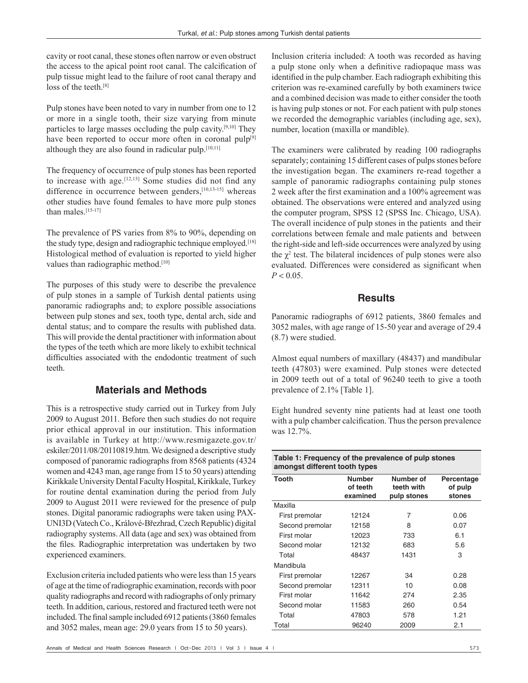cavity or root canal, these stones often narrow or even obstruct the access to the apical point root canal. The calcification of pulp tissue might lead to the failure of root canal therapy and loss of the teeth.<sup>[8]</sup>

Pulp stones have been noted to vary in number from one to 12 or more in a single tooth, their size varying from minute particles to large masses occluding the pulp cavity.[9,10] They have been reported to occur more often in coronal pulp<sup>[9]</sup> although they are also found in radicular pulp.[10,11]

The frequency of occurrence of pulp stones has been reported to increase with age.  $[12,13]$  Some studies did not find any difference in occurrence between genders,<sup>[10,13-15]</sup> whereas other studies have found females to have more pulp stones than males.[15‑17]

The prevalence of PS varies from 8% to 90%, depending on the study type, design and radiographic technique employed.[18] Histological method of evaluation is reported to yield higher values than radiographic method.<sup>[10]</sup>

The purposes of this study were to describe the prevalence of pulp stones in a sample of Turkish dental patients using panoramic radiographs and; to explore possible associations between pulp stones and sex, tooth type, dental arch, side and dental status; and to compare the results with published data. This will provide the dental practitioner with information about the types of the teeth which are more likely to exhibit technical difficulties associated with the endodontic treatment of such teeth.

## **Materials and Methods**

This is a retrospective study carried out in Turkey from July 2009 to August 2011. Before then such studies do not require prior ethical approval in our institution. This information is available in Turkey at http://www.resmigazete.gov.tr/ eskiler/2011/08/20110819.htm. We designed a descriptive study composed of panoramic radiographs from 8568 patients (4324 women and 4243 man, age range from 15 to 50 years) attending Kirikkale University Dental Faculty Hospital, Kirikkale, Turkey for routine dental examination during the period from July 2009 to August 2011 were reviewed for the presence of pulp stones. Digital panoramic radiographs were taken using PAX-UNI3D (Vatech Co., Králové-Březhrad, Czech Republic) digital radiography systems. All data (age and sex) was obtained from the files. Radiographic interpretation was undertaken by two experienced examiners.

Exclusion criteria included patients who were less than 15 years of age at the time of radiographic examination, records with poor quality radiographs and record with radiographs of only primary teeth. In addition, carious, restored and fractured teeth were not included. The final sample included 6912 patients(3860 females and 3052 males, mean age: 29.0 years from 15 to 50 years).

Annals of Medical and Health Sciences Research | Oct-Dec 2013 | Vol 3 | Issue 4 | 573

Inclusion criteria included: A tooth was recorded as having a pulp stone only when a definitive radiopaque mass was identified in the pulp chamber. Each radiograph exhibiting this criterion was re‑examined carefully by both examiners twice and a combined decision was made to either consider the tooth is having pulp stones or not. For each patient with pulp stones we recorded the demographic variables (including age, sex), number, location (maxilla or mandible).

The examiners were calibrated by reading 100 radiographs separately; containing 15 different cases of pulps stones before the investigation began. The examiners re‑read together a sample of panoramic radiographs containing pulp stones 2 week after the first examination and a 100% agreement was obtained. The observations were entered and analyzed using the computer program, SPSS 12 (SPSS Inc. Chicago, USA). The overall incidence of pulp stones in the patients and their correlations between female and male patients and between the right-side and left-side occurrences were analyzed by using the  $\chi^2$  test. The bilateral incidences of pulp stones were also evaluated. Differences were considered as significant when  $P < 0.05$ .

#### **Results**

Panoramic radiographs of 6912 patients, 3860 females and 3052 males, with age range of 15-50 year and average of 29.4 (8.7) were studied.

Almost equal numbers of maxillary (48437) and mandibular teeth (47803) were examined. Pulp stones were detected in 2009 teeth out of a total of 96240 teeth to give a tooth prevalence of 2.1% [Table 1].

Eight hundred seventy nine patients had at least one tooth with a pulp chamber calcification. Thus the person prevalence was 12.7%.

| Table 1: Frequency of the prevalence of pulp stones<br>amongst different tooth types |                                       |                                        |                                 |  |  |  |  |  |  |
|--------------------------------------------------------------------------------------|---------------------------------------|----------------------------------------|---------------------------------|--|--|--|--|--|--|
| Tooth                                                                                | <b>Number</b><br>of teeth<br>examined | Number of<br>teeth with<br>pulp stones | Percentage<br>of pulp<br>stones |  |  |  |  |  |  |
| Maxilla                                                                              |                                       |                                        |                                 |  |  |  |  |  |  |
| First premolar                                                                       | 12124                                 | 7                                      | 0.06                            |  |  |  |  |  |  |
| Second premolar                                                                      | 12158                                 | 8                                      | 0.07                            |  |  |  |  |  |  |
| First molar                                                                          | 12023                                 | 733                                    | 6.1                             |  |  |  |  |  |  |
| Second molar                                                                         | 12132                                 | 683                                    | 5.6                             |  |  |  |  |  |  |
| Total                                                                                | 48437                                 | 1431                                   | 3                               |  |  |  |  |  |  |
| Mandibula                                                                            |                                       |                                        |                                 |  |  |  |  |  |  |
| First premolar                                                                       | 12267                                 | 34                                     | 0.28                            |  |  |  |  |  |  |
| Second premolar                                                                      | 12311                                 | 10                                     | 0.08                            |  |  |  |  |  |  |
| First molar                                                                          | 11642                                 | 274                                    | 2.35                            |  |  |  |  |  |  |
| Second molar                                                                         | 11583                                 | 260                                    | 0.54                            |  |  |  |  |  |  |
| Total                                                                                | 47803                                 | 578                                    | 1.21                            |  |  |  |  |  |  |
| Total                                                                                | 96240                                 | 2009                                   | 2.1                             |  |  |  |  |  |  |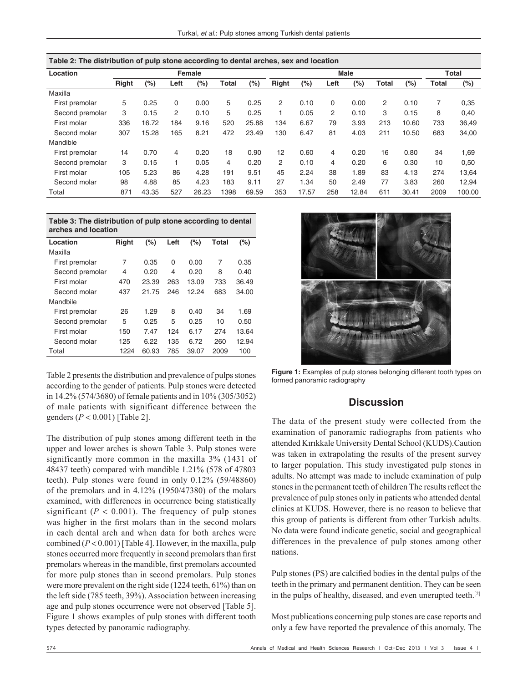| Table 2: The distribution of pulp stone according to dental arches, sex and location |              |       |      |       |       |       |              |       |      |         |       |       |       |        |
|--------------------------------------------------------------------------------------|--------------|-------|------|-------|-------|-------|--------------|-------|------|---------|-------|-------|-------|--------|
| Female<br>Location                                                                   |              |       |      |       |       |       | <b>Male</b>  |       |      |         |       |       | Total |        |
|                                                                                      | <b>Right</b> | (%)   | Left | (%)   | Total | (%)   | <b>Right</b> | (%)   | Left | $(\% )$ | Total | (%)   | Total | (%)    |
| Maxilla                                                                              |              |       |      |       |       |       |              |       |      |         |       |       |       |        |
| First premolar                                                                       | 5            | 0.25  | 0    | 0.00  | 5     | 0.25  | 2            | 0.10  | 0    | 0.00    | 2     | 0.10  | 7     | 0,35   |
| Second premolar                                                                      | 3            | 0.15  | 2    | 0.10  | 5     | 0.25  | 1            | 0.05  | 2    | 0.10    | 3     | 0.15  | 8     | 0.40   |
| First molar                                                                          | 336          | 16.72 | 184  | 9.16  | 520   | 25.88 | 134          | 6.67  | 79   | 3.93    | 213   | 10.60 | 733   | 36,49  |
| Second molar                                                                         | 307          | 15.28 | 165  | 8.21  | 472   | 23.49 | 130          | 6.47  | 81   | 4.03    | 211   | 10.50 | 683   | 34,00  |
| Mandible                                                                             |              |       |      |       |       |       |              |       |      |         |       |       |       |        |
| First premolar                                                                       | 14           | 0.70  | 4    | 0.20  | 18    | 0.90  | 12           | 0.60  | 4    | 0.20    | 16    | 0.80  | 34    | 1,69   |
| Second premolar                                                                      | 3            | 0.15  |      | 0.05  | 4     | 0.20  | 2            | 0.10  | 4    | 0.20    | 6     | 0.30  | 10    | 0,50   |
| First molar                                                                          | 105          | 5.23  | 86   | 4.28  | 191   | 9.51  | 45           | 2.24  | 38   | 1.89    | 83    | 4.13  | 274   | 13,64  |
| Second molar                                                                         | 98           | 4.88  | 85   | 4.23  | 183   | 9.11  | 27           | 1.34  | 50   | 2.49    | 77    | 3.83  | 260   | 12,94  |
| Total                                                                                | 871          | 43.35 | 527  | 26.23 | 1398  | 69.59 | 353          | 17.57 | 258  | 12.84   | 611   | 30.41 | 2009  | 100.00 |

| Table 2: The distribution of pulp stone according to dental arches, sex and location |  |
|--------------------------------------------------------------------------------------|--|
|--------------------------------------------------------------------------------------|--|

| Table 3: The distribution of pulp stone according to dental |
|-------------------------------------------------------------|
| arches and location                                         |

| Location        | Right | (%)   | Left | (%)   | Total | (%)   |
|-----------------|-------|-------|------|-------|-------|-------|
| Maxilla         |       |       |      |       |       |       |
| First premolar  | 7     | 0.35  | 0    | 0.00  | 7     | 0.35  |
| Second premolar | 4     | 0.20  | 4    | 0.20  | 8     | 0.40  |
| First molar     | 470   | 23.39 | 263  | 13.09 | 733   | 36.49 |
| Second molar    | 437   | 21.75 | 246  | 12.24 | 683   | 34.00 |
| Mandbile        |       |       |      |       |       |       |
| First premolar  | 26    | 1.29  | 8    | 0.40  | 34    | 1.69  |
| Second premolar | 5     | 0.25  | 5    | 0.25  | 10    | 0.50  |
| First molar     | 150   | 7.47  | 124  | 6.17  | 274   | 13.64 |
| Second molar    | 125   | 6.22  | 135  | 6.72  | 260   | 12.94 |
| Total           | 1224  | 60.93 | 785  | 39.07 | 2009  | 100   |

Table 2 presents the distribution and prevalence of pulps stones according to the gender of patients. Pulp stones were detected in 14.2% (574/3680) of female patients and in 10% (305/3052) of male patients with significant difference between the genders (*P* < 0.001) [Table 2].

The distribution of pulp stones among different teeth in the upper and lower arches is shown Table 3. Pulp stones were significantly more common in the maxilla 3% (1431 of 48437 teeth) compared with mandible 1.21% (578 of 47803 teeth). Pulp stones were found in only 0.12% (59/48860) of the premolars and in 4.12% (1950/47380) of the molars examined, with differences in occurrence being statistically significant ( $P < 0.001$ ). The frequency of pulp stones was higher in the first molars than in the second molars in each dental arch and when data for both arches were combined  $(P < 0.001)$  [Table 4]. However, in the maxilla, pulp stones occurred more frequently in second premolars than first premolars whereas in the mandible, first premolars accounted for more pulp stones than in second premolars. Pulp stones were more prevalent on the right side (1224 teeth, 61%) than on the left side (785 teeth, 39%). Association between increasing age and pulp stones occurrence were not observed [Table 5]. Figure 1 shows examples of pulp stones with different tooth types detected by panoramic radiography.



**Figure 1:** Examples of pulp stones belonging different tooth types on formed panoramic radiography

## **Discussion**

The data of the present study were collected from the examination of panoramic radiographs from patients who attended Kırıkkale University Dental School (KUDS).Caution was taken in extrapolating the results of the present survey to larger population. This study investigated pulp stones in adults. No attempt was made to include examination of pulp stones in the permanent teeth of children The results reflect the prevalence of pulp stones only in patients who attended dental clinics at KUDS. However, there is no reason to believe that this group of patients is different from other Turkish adults. No data were found indicate genetic, social and geographical differences in the prevalence of pulp stones among other nations.

Pulp stones (PS) are calcified bodies in the dental pulps of the teeth in the primary and permanent dentition. They can be seen in the pulps of healthy, diseased, and even unerupted teeth.[2]

Most publications concerning pulp stones are case reports and only a few have reported the prevalence of this anomaly. The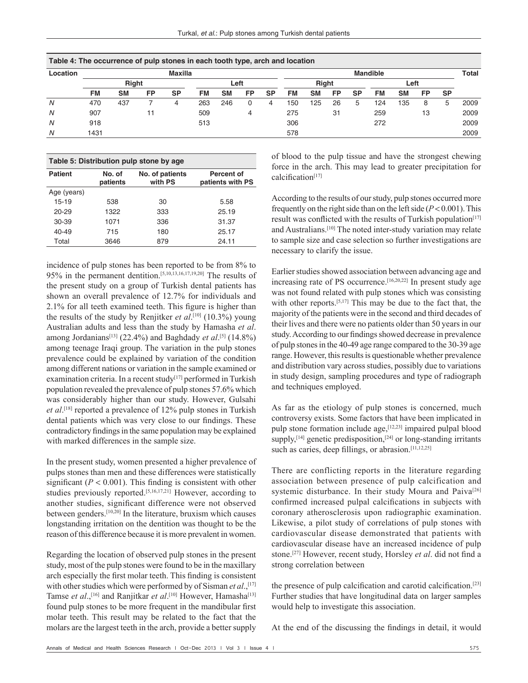| Table 4: The occurrence of pulp stones in each tooth type, arch and location |      |              |           |                |      |           |           |           |                 |           |           |           |           |           |    |           |      |
|------------------------------------------------------------------------------|------|--------------|-----------|----------------|------|-----------|-----------|-----------|-----------------|-----------|-----------|-----------|-----------|-----------|----|-----------|------|
| Location                                                                     |      |              |           | <b>Maxilla</b> |      |           |           |           | <b>Mandible</b> |           |           |           |           |           |    | Total     |      |
|                                                                              |      | <b>Right</b> |           |                | Left |           |           | Right     |                 |           |           | Left      |           |           |    |           |      |
|                                                                              | FM   | <b>SM</b>    | <b>FP</b> | <b>SP</b>      | FM   | <b>SM</b> | <b>FP</b> | <b>SP</b> | <b>FM</b>       | <b>SM</b> | <b>FP</b> | <b>SP</b> | <b>FM</b> | <b>SM</b> | FP | <b>SP</b> |      |
| N                                                                            | 470  | 437          |           | 4              | 263  | 246       |           | 4         | 150             | 125       | 26        | 5         | 124       | 135       | 8  | b         | 2009 |
| N                                                                            | 907  |              | 11        |                | 509  |           | 4         |           | 275             |           | 31        |           | 259       |           | 13 |           | 2009 |
| N                                                                            | 918  |              |           |                | 513  |           |           |           | 306             |           |           |           | 272       |           |    |           | 2009 |
| N                                                                            | 1431 |              |           |                |      |           |           |           | 578             |           |           |           |           |           |    |           | 2009 |

| Table 5: Distribution pulp stone by age |                    |                            |                                |  |  |  |  |  |  |
|-----------------------------------------|--------------------|----------------------------|--------------------------------|--|--|--|--|--|--|
| <b>Patient</b>                          | No. of<br>patients | No. of patients<br>with PS | Percent of<br>patients with PS |  |  |  |  |  |  |
| Age (years)                             |                    |                            |                                |  |  |  |  |  |  |
| 15-19                                   | 538                | 30                         | 5.58                           |  |  |  |  |  |  |
| $20 - 29$                               | 1322               | 333                        | 25.19                          |  |  |  |  |  |  |
| 30-39                                   | 1071               | 336                        | 31.37                          |  |  |  |  |  |  |
| 40-49                                   | 715                | 180                        | 25.17                          |  |  |  |  |  |  |
| Total                                   | 3646               | 879                        | 24.11                          |  |  |  |  |  |  |

incidence of pulp stones has been reported to be from 8% to 95% in the permanent dentition.[5,10,13,16,17,19,20] The results of the present study on a group of Turkish dental patients has shown an overall prevalence of 12.7% for individuals and 2.1% for all teeth examined teeth. This figure is higher than the results of the study by Renjitker *et al*. [10] (10.3%) young Australian adults and less than the study by Hamasha *et al*. among Jordanians<sup>[13]</sup> (22.4%) and Baghdady *et al*.<sup>[5]</sup> (14.8%) among teenage Iraqi group. The variation in the pulp stones prevalence could be explained by variation of the condition among different nations or variation in the sample examined or examination criteria. In a recent study<sup>[17]</sup> performed in Turkish population revealed the prevalence of pulp stones 57.6% which was considerably higher than our study. However, Gulsahi *et al*. [18] reported a prevalence of 12% pulp stones in Turkish dental patients which was very close to our findings. These contradictory findings in the same population may be explained with marked differences in the sample size.

In the present study, women presented a higher prevalence of pulps stones than men and these differences were statistically significant  $(P < 0.001)$ . This finding is consistent with other studies previously reported.[5,16,17,21] However, according to another studies, significant difference were not observed between genders.[10,20] In the literature, bruxism which causes longstanding irritation on the dentition was thought to be the reason of this difference because it is more prevalent in women.

Regarding the location of observed pulp stones in the present study, most of the pulp stones were found to be in the maxillary arch especially the first molar teeth. This finding is consistent with other studies which were performed by of Sisman *et al.*,<sup>[17]</sup> Tamse *et al.*,<sup>[16]</sup> and Ranjitkar *et al*.<sup>[10]</sup> However, Hamasha<sup>[13]</sup> found pulp stones to be more frequent in the mandibular first molar teeth. This result may be related to the fact that the molars are the largest teeth in the arch, provide a better supply of blood to the pulp tissue and have the strongest chewing force in the arch. This may lead to greater precipitation for calcification<sup>[17]</sup>

According to the results of our study, pulp stones occurred more frequently on the right side than on the left side (*P* < 0.001). This result was conflicted with the results of Turkish population<sup>[17]</sup> and Australians.<sup>[10]</sup> The noted inter-study variation may relate to sample size and case selection so further investigations are necessary to clarify the issue.

Earlier studies showed association between advancing age and increasing rate of PS occurrence.<sup>[16,20,22]</sup> In present study age was not found related with pulp stones which was consisting with other reports.<sup>[5,17]</sup> This may be due to the fact that, the majority of the patients were in the second and third decades of their lives and there were no patients older than 50 years in our study. According to our findings showed decrease in prevalence of pulp stones in the 40-49 age range compared to the 30-39 age range. However, this results is questionable whether prevalence and distribution vary across studies, possibly due to variations in study design, sampling procedures and type of radiograph and techniques employed.

As far as the etiology of pulp stones is concerned, much controversy exists. Some factors that have been implicated in pulp stone formation include age,[12,23] impaired pulpal blood supply, $[14]$  genetic predisposition, $[24]$  or long-standing irritants such as caries, deep fillings, or abrasion.<sup>[11,12,25]</sup>

There are conflicting reports in the literature regarding association between presence of pulp calcification and systemic disturbance. In their study Moura and Paiva<sup>[26]</sup> confirmed increased pulpal calcifications in subjects with coronary atherosclerosis upon radiographic examination. Likewise, a pilot study of correlations of pulp stones with cardiovascular disease demonstrated that patients with cardiovascular disease have an increased incidence of pulp stone.[27] However, recent study, Horsley *et al*. did not find a strong correlation between

the presence of pulp calcification and carotid calcification.[23] Further studies that have longitudinal data on larger samples would help to investigate this association.

At the end of the discussing the findings in detail, it would